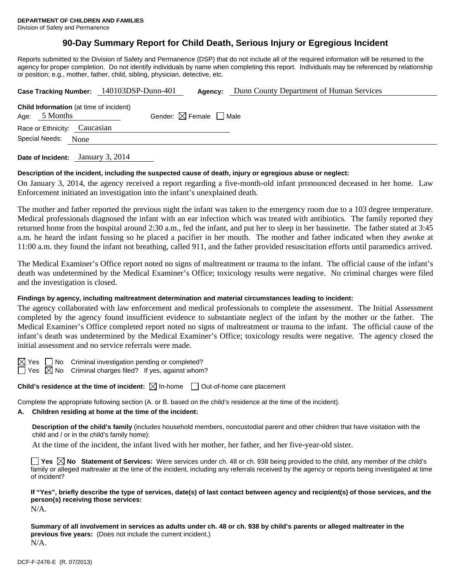# **90-Day Summary Report for Child Death, Serious Injury or Egregious Incident**

Reports submitted to the Division of Safety and Permanence (DSP) that do not include all of the required information will be returned to the agency for proper completion. Do not identify individuals by name when completing this report. Individuals may be referenced by relationship or position; e.g., mother, father, child, sibling, physician, detective, etc.

|                        |                                                                   | Case Tracking Number: 140103DSP-Dunn-401 | Agency:                                | Dunn County Department of Human Services |  |  |
|------------------------|-------------------------------------------------------------------|------------------------------------------|----------------------------------------|------------------------------------------|--|--|
|                        | <b>Child Information</b> (at time of incident)<br>Age: $5$ Months |                                          | Gender: $\boxtimes$ Female $\Box$ Male |                                          |  |  |
|                        | Race or Ethnicity: Caucasian                                      |                                          |                                        |                                          |  |  |
| Special Needs:<br>None |                                                                   |                                          |                                        |                                          |  |  |
|                        |                                                                   |                                          |                                        |                                          |  |  |

**Date of Incident:** January 3, 2014

## **Description of the incident, including the suspected cause of death, injury or egregious abuse or neglect:**

On January 3, 2014, the agency received a report regarding a five-month-old infant pronounced deceased in her home. Law Enforcement initiated an investigation into the infant's unexplained death.

The mother and father reported the previous night the infant was taken to the emergency room due to a 103 degree temperature. Medical professionals diagnosed the infant with an ear infection which was treated with antibiotics. The family reported they returned home from the hospital around 2:30 a.m., fed the infant, and put her to sleep in her bassinette. The father stated at 3:45 a.m. he heard the infant fussing so he placed a pacifier in her mouth. The mother and father indicated when they awoke at 11:00 a.m. they found the infant not breathing, called 911, and the father provided resuscitation efforts until paramedics arrived.

The Medical Examiner's Office report noted no signs of maltreatment or trauma to the infant. The official cause of the infant's death was undetermined by the Medical Examiner's Office; toxicology results were negative. No criminal charges were filed and the investigation is closed.

## **Findings by agency, including maltreatment determination and material circumstances leading to incident:**

The agency collaborated with law enforcement and medical professionals to complete the assessment. The Initial Assessment completed by the agency found insufficient evidence to substantiate neglect of the infant by the mother or the father. The Medical Examiner's Office completed report noted no signs of maltreatment or trauma to the infant. The official cause of the infant's death was undetermined by the Medical Examiner's Office; toxicology results were negative. The agency closed the initial assessment and no service referrals were made.

 $\boxtimes$  Yes  $\Box$  No Criminal investigation pending or completed?

 $\Box$  Yes  $\boxtimes$  No Criminal charges filed? If yes, against whom?

**Child's residence at the time of incident:**  $\boxtimes$  In-home  $\Box$  Out-of-home care placement

Complete the appropriate following section (A. or B. based on the child's residence at the time of the incident).

# **A. Children residing at home at the time of the incident:**

**Description of the child's family** (includes household members, noncustodial parent and other children that have visitation with the child and / or in the child's family home):

At the time of the incident, the infant lived with her mother, her father, and her five-year-old sister.

**Yes No** Statement of Services: Were services under ch. 48 or ch. 938 being provided to the child, any member of the child's family or alleged maltreater at the time of the incident, including any referrals received by the agency or reports being investigated at time of incident?

## **If "Yes", briefly describe the type of services, date(s) of last contact between agency and recipient(s) of those services, and the person(s) receiving those services:**

N/A.

**Summary of all involvement in services as adults under ch. 48 or ch. 938 by child's parents or alleged maltreater in the previous five years:** (Does not include the current incident.) N/A.